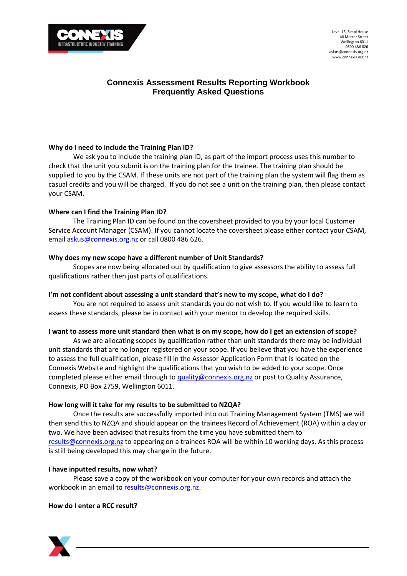

Level 13, Simpl House 40 Mercer Street Wellington 6011 0800 486 626 askus@connexis.org.nz www.connexis.org.nz

# **Connexis Assessment Results Reporting Workbook Frequently Asked Questions**

# **Why do I need to include the Training Plan ID?**

We ask you to include the training plan ID, as part of the import process uses this number to check that the unit you submit is on the training plan for the trainee. The training plan should be supplied to you by the CSAM. If these units are not part of the training plan the system will flag them as casual credits and you will be charged. If you do not see a unit on the training plan, then please contact your CSAM.

# **Where can I find the Training Plan ID?**

The Training Plan ID can be found on the coversheet provided to you by your local Customer Service Account Manager (CSAM). If you cannot locate the coversheet please either contact your CSAM, email [askus@connexis.org.nz](mailto:askus@connexis.org.nz) or call 0800 486 626.

# **Why does my new scope have a different number of Unit Standards?**

Scopes are now being allocated out by qualification to give assessors the ability to assess full qualifications rather then just parts of qualifications.

# **I'm not confident about assessing a unit standard that's new to my scope, what do I do?**

You are not required to assess unit standards you do not wish to. If you would like to learn to assess these standards, please be in contact with your mentor to develop the required skills.

#### **I want to assess more unit standard then what is on my scope, how do I get an extension of scope?**

As we are allocating scopes by qualification rather than unit standards there may be individual unit standards that are no longer registered on your scope. If you believe that you have the experience to assess the full qualification, please fill in the Assessor Application Form that is located on the Connexis Website and highlight the qualifications that you wish to be added to your scope. Once completed please either email through to [quality@connexis.org.nz](mailto:quality@connexis.org.nz) or post to Quality Assurance, Connexis, PO Box 2759, Wellington 6011.

#### **How long will it take for my results to be submitted to NZQA?**

Once the results are successfully imported into out Training Management System (TMS) we will then send this to NZQA and should appear on the trainees Record of Achievement (ROA) within a day or two. We have been advised that results from the time you have submitted them to [results@connexis.org.nz](mailto:results@connexis.org.nz) to appearing on a trainees ROA will be within 10 working days. As this process is still being developed this may change in the future.

#### **I have inputted results, now what?**

Please save a copy of the workbook on your computer for your own records and attach the workbook in an email t[o results@connexis.org.nz.](mailto:results@connexis.org.nz)

# **How do I enter a RCC result?**

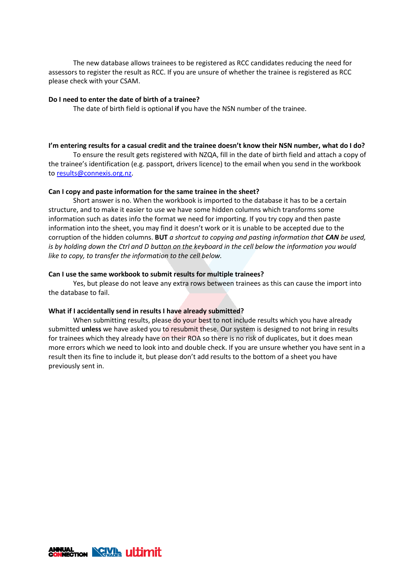The new database allows trainees to be registered as RCC candidates reducing the need for assessors to register the result as RCC. If you are unsure of whether the trainee is registered as RCC please check with your CSAM.

## **Do I need to enter the date of birth of a trainee?**

The date of birth field is optional **if** you have the NSN number of the trainee.

# **I'm entering results for a casual credit and the trainee doesn't know their NSN number, what do I do?**

To ensure the result gets registered with NZQA, fill in the date of birth field and attach a copy of the trainee's identification (e.g. passport, drivers licence) to the email when you send in the workbook to [results@connexis.org.nz.](mailto:results@connexis.org.nz)

# **Can I copy and paste information for the same trainee in the sheet?**

Short answer is no. When the workbook is imported to the database it has to be a certain structure, and to make it easier to use we have some hidden columns which transforms some information such as dates info the format we need for importing. If you try copy and then paste information into the sheet, you may find it doesn't work or it is unable to be accepted due to the corruption of the hidden columns. **BUT** *a shortcut to copying and pasting information that CAN be used, is by holding down the Ctrl and D button on the keyboard in the cell below the information you would like to copy, to transfer the information to the cell below.*

# **Can I use the same workbook to submit results for multiple trainees?**

Yes, but please do not leave any extra rows between trainees as this can cause the import into the database to fail.

## **What if I accidentally send in results I have already submitted?**

When submitting results, please do your best to not include results which you have already submitted **unless** we have asked you to resubmit these. Our system is designed to not bring in results for trainees which they already have on their ROA so there is no risk of duplicates, but it does mean more errors which we need to look into and double check. If you are unsure whether you have sent in a result then its fine to include it, but please don't add results to the bottom of a sheet you have previously sent in.